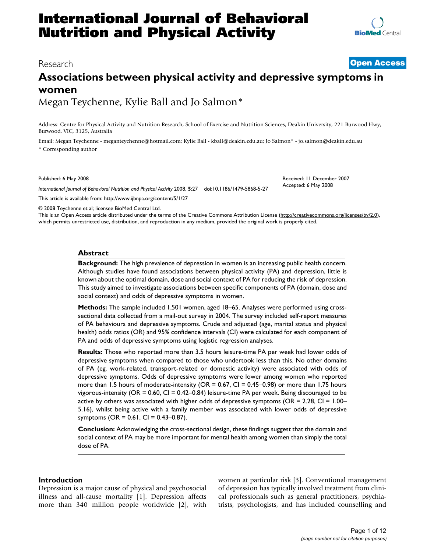# **Associations between physical activity and depressive symptoms in women** Megan Teychenne, Kylie Ball and Jo Salmon\*

Address: Centre for Physical Activity and Nutrition Research, School of Exercise and Nutrition Sciences, Deakin University, 221 Burwood Hwy, Burwood, VIC, 3125, Australia

Email: Megan Teychenne - meganteychenne@hotmail.com; Kylie Ball - kball@deakin.edu.au; Jo Salmon\* - jo.salmon@deakin.edu.au \* Corresponding author

Published: 6 May 2008

*International Journal of Behavioral Nutrition and Physical Activity* 2008, **5**:27 doi:10.1186/1479-5868-5-27

[This article is available from: http://www.ijbnpa.org/content/5/1/27](http://www.ijbnpa.org/content/5/1/27)

© 2008 Teychenne et al; licensee BioMed Central Ltd.

This is an Open Access article distributed under the terms of the Creative Commons Attribution License [\(http://creativecommons.org/licenses/by/2.0\)](http://creativecommons.org/licenses/by/2.0), which permits unrestricted use, distribution, and reproduction in any medium, provided the original work is properly cited.

## **Abstract**

**Background:** The high prevalence of depression in women is an increasing public health concern. Although studies have found associations between physical activity (PA) and depression, little is known about the optimal domain, dose and social context of PA for reducing the risk of depression. This study aimed to investigate associations between specific components of PA (domain, dose and social context) and odds of depressive symptoms in women.

**Methods:** The sample included 1,501 women, aged 18–65. Analyses were performed using crosssectional data collected from a mail-out survey in 2004. The survey included self-report measures of PA behaviours and depressive symptoms. Crude and adjusted (age, marital status and physical health) odds ratios (OR) and 95% confidence intervals (CI) were calculated for each component of PA and odds of depressive symptoms using logistic regression analyses.

**Results:** Those who reported more than 3.5 hours leisure-time PA per week had lower odds of depressive symptoms when compared to those who undertook less than this. No other domains of PA (eg. work-related, transport-related or domestic activity) were associated with odds of depressive symptoms. Odds of depressive symptoms were lower among women who reported more than 1.5 hours of moderate-intensity (OR = 0.67, CI = 0.45–0.98) or more than 1.75 hours vigorous-intensity (OR = 0.60, CI = 0.42–0.84) leisure-time PA per week. Being discouraged to be active by others was associated with higher odds of depressive symptoms (OR = 2.28, CI = 1.00– 5.16), whilst being active with a family member was associated with lower odds of depressive symptoms ( $OR = 0.61$ ,  $CI = 0.43 - 0.87$ ).

**Conclusion:** Acknowledging the cross-sectional design, these findings suggest that the domain and social context of PA may be more important for mental health among women than simply the total dose of PA.

#### **Introduction**

Depression is a major cause of physical and psychosocial illness and all-cause mortality [1]. Depression affects more than 340 million people worldwide [2], with women at particular risk [3]. Conventional management of depression has typically involved treatment from clinical professionals such as general practitioners, psychiatrists, psychologists, and has included counselling and

Received: 11 December 2007 Accepted: 6 May 2008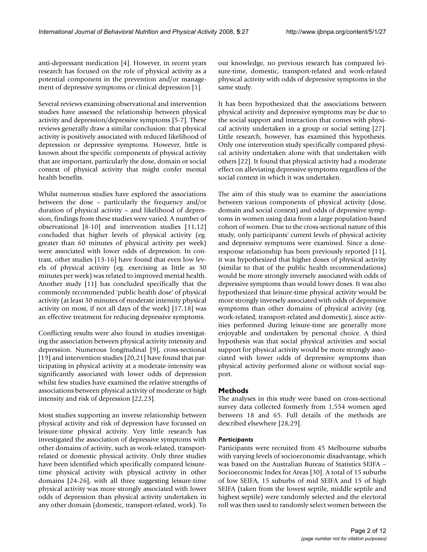anti-depressant medication [4]. However, in recent years research has focused on the role of physical activity as a potential component in the prevention and/or management of depressive symptoms or clinical depression [1].

Several reviews examining observational and intervention studies have assessed the relationship between physical activity and depression/depressive symptoms [5-7]. These reviews generally draw a similar conclusion: that physical activity is positively associated with reduced likelihood of depression or depressive symptoms. However, little is known about the specific components of physical activity that are important, particularly the dose, domain or social context of physical activity that might confer mental health benefits.

Whilst numerous studies have explored the associations between the dose – particularly the frequency and/or duration of physical activity – and likelihood of depression, findings from these studies were varied. A number of observational [8-10] and intervention studies [11,12] concluded that higher levels of physical activity (eg. greater than 60 minutes of physical activity per week) were associated with lower odds of depression. In contrast, other studies [13-16] have found that even low levels of physical activity (eg. exercising as little as 30 minutes per week) was related to improved mental health. Another study [11] has concluded specifically that the commonly recommended 'public health dose' of physical activity (at least 30 minutes of moderate intensity physical activity on most, if not all days of the week) [17,18] was an effective treatment for reducing depressive symptoms.

Conflicting results were also found in studies investigating the association between physical activity intensity and depression. Numerous longitudinal [9], cross-sectional [19] and intervention studies [20,21] have found that participating in physical activity at a moderate-intensity was significantly associated with lower odds of depression whilst few studies have examined the relative strengths of associations between physical activity of moderate or high intensity and risk of depression [22,23].

Most studies supporting an inverse relationship between physical activity and risk of depression have focussed on leisure-time physical activity. Very little research has investigated the association of depressive symptoms with other domains of activity, such as work-related, transportrelated or domestic physical activity. Only three studies have been identified which specifically compared leisuretime physical activity with physical activity in other domains [24-26], with all three suggesting leisure-time physical activity was more strongly associated with lower odds of depression than physical activity undertaken in any other domain (domestic, transport-related, work). To our knowledge, no previous research has compared leisure-time, domestic, transport-related and work-related physical activity with odds of depressive symptoms in the same study.

It has been hypothesized that the associations between physical activity and depressive symptoms may be due to the social support and interaction that comes with physical activity undertaken in a group or social setting [27]. Little research, however, has examined this hypothesis. Only one intervention study specifically compared physical activity undertaken alone with that undertaken with others [22]. It found that physical activity had a moderate effect on alleviating depressive symptoms regardless of the social context in which it was undertaken.

The aim of this study was to examine the associations between various components of physical activity (dose, domain and social context) and odds of depressive symptoms in women using data from a large population-based cohort of women. Due to the cross-sectional nature of this study, only participants' current levels of physical activity and depressive symptoms were examined. Since a doseresponse relationship has been previously reported [11], it was hypothesized that higher doses of physical activity (similar to that of the public health recommendations) would be more strongly inversely associated with odds of depressive symptoms than would lower doses. It was also hypothesized that leisure-time physical activity would be more strongly inversely associated with odds of depressive symptoms than other domains of physical activity (eg. work-related, transport-related and domestic), since activities performed during leisure-time are generally more enjoyable and undertaken by personal choice. A third hypothesis was that social physical activities and social support for physical activity would be more strongly associated with lower odds of depressive symptoms than physical activity performed alone or without social support.

# **Methods**

The analyses in this study were based on cross-sectional survey data collected formerly from 1,554 women aged between 18 and 65. Full details of the methods are described elsewhere [28,29].

# *Participants*

Participants were recruited from 45 Melbourne suburbs with varying levels of socioeconomic disadvantage, which was based on the Australian Bureau of Statistics SEIFA – Socioeconomic Index for Areas [30]. A total of 15 suburbs of low SEIFA, 15 suburbs of mid SEIFA and 15 of high SEIFA (taken from the lowest septile, middle septile and highest septile) were randomly selected and the electoral roll was then used to randomly select women between the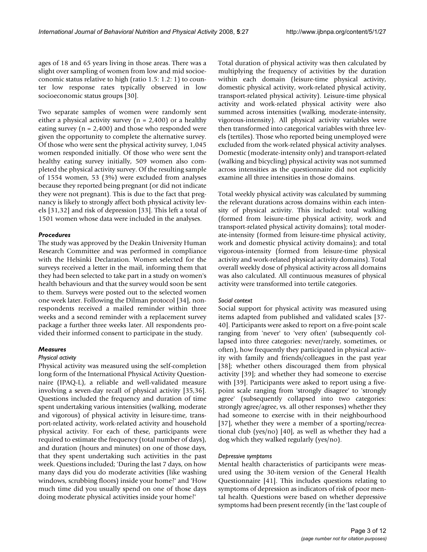ages of 18 and 65 years living in those areas. There was a slight over sampling of women from low and mid socioeconomic status relative to high (ratio 1.5: 1.2: 1) to counter low response rates typically observed in low socioeconomic status groups [30].

Two separate samples of women were randomly sent either a physical activity survey  $(n = 2,400)$  or a healthy eating survey ( $n = 2,400$ ) and those who responded were given the opportunity to complete the alternative survey. Of those who were sent the physical activity survey, 1,045 women responded initially. Of those who were sent the healthy eating survey initially, 509 women also completed the physical activity survey. Of the resulting sample of 1554 women, 53 (3%) were excluded from analyses because they reported being pregnant (or did not indicate they were not pregnant). This is due to the fact that pregnancy is likely to strongly affect both physical activity levels [31,32] and risk of depression [33]. This left a total of 1501 women whose data were included in the analyses.

## *Procedures*

The study was approved by the Deakin University Human Research Committee and was performed in compliance with the Helsinki Declaration. Women selected for the surveys received a letter in the mail, informing them that they had been selected to take part in a study on women's health behaviours and that the survey would soon be sent to them. Surveys were posted out to the selected women one week later. Following the Dilman protocol [34], nonrespondents received a mailed reminder within three weeks and a second reminder with a replacement survey package a further three weeks later. All respondents provided their informed consent to participate in the study.

#### *Measures*

#### *Physical activity*

Physical activity was measured using the self-completion long form of the International Physical Activity Questionnaire (IPAQ-L), a reliable and well-validated measure involving a seven-day recall of physical activity [35,36]. Questions included the frequency and duration of time spent undertaking various intensities (walking, moderate and vigorous) of physical activity in leisure-time, transport-related activity, work-related activity and household physical activity. For each of these, participants were required to estimate the frequency (total number of days), and duration (hours and minutes) on one of those days, that they spent undertaking such activities in the past week. Questions included; 'During the last 7 days, on how many days did you do moderate activities (like washing windows, scrubbing floors) inside your home?' and 'How much time did you usually spend on one of those days doing moderate physical activities inside your home?'

Total duration of physical activity was then calculated by multiplying the frequency of activities by the duration within each domain (leisure-time physical activity, domestic physical activity, work-related physical activity, transport-related physical activity). Leisure-time physical activity and work-related physical activity were also summed across intensities (walking, moderate-intensity, vigorous-intensity). All physical activity variables were then transformed into categorical variables with three levels (tertiles). Those who reported being unemployed were excluded from the work-related physical activity analyses. Domestic (moderate-intensity only) and transport-related (walking and bicycling) physical activity was not summed across intensities as the questionnaire did not explicitly examine all three intensities in those domains.

Total weekly physical activity was calculated by summing the relevant durations across domains within each intensity of physical activity. This included: total walking (formed from leisure-time physical activity, work and transport-related physical activity domains); total moderate-intensity (formed from leisure-time physical activity, work and domestic physical activity domains); and total vigorous-intensity (formed from leisure-time physical activity and work-related physical activity domains). Total overall weekly dose of physical activity across all domains was also calculated. All continuous measures of physical activity were transformed into tertile categories.

#### *Social context*

Social support for physical activity was measured using items adapted from published and validated scales [37- 40]. Participants were asked to report on a five-point scale ranging from 'never' to 'very often' (subsequently collapsed into three categories: never/rarely, sometimes, or often), how frequently they participated in physical activity with family and friends/colleagues in the past year [38]; whether others discouraged them from physical activity [39]; and whether they had someone to exercise with [39]. Participants were asked to report using a fivepoint scale ranging from 'strongly disagree' to 'strongly agree' (subsequently collapsed into two categories: strongly agree/agree, vs. all other responses) whether they had someone to exercise with in their neighbourhood [37], whether they were a member of a sporting/recreational club (yes/no) [40], as well as whether they had a dog which they walked regularly (yes/no).

#### *Depressive symptoms*

Mental health characteristics of participants were measured using the 30-item version of the General Health Questionnaire [41]. This includes questions relating to symptoms of depression as indicators of risk of poor mental health. Questions were based on whether depressive symptoms had been present recently (in the 'last couple of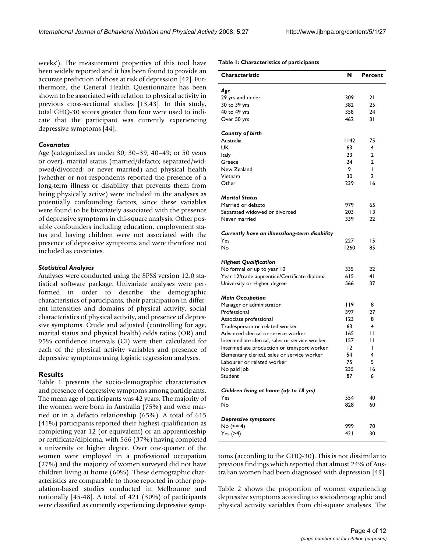weeks'). The measurement properties of this tool have been widely reported and it has been found to provide an accurate prediction of those at risk of depression [42]. Furthermore, the General Health Questionnaire has been shown to be associated with relation to physical activity in previous cross-sectional studies [13,43]. In this study, total GHQ-30 scores greater than four were used to indicate that the participant was currently experiencing depressive symptoms [44].

## *Covariates*

Age (categorized as under 30; 30–39; 40–49; or 50 years or over), marital status (married/defacto; separated/widowed/divorced; or never married) and physical health (whether or not respondents reported the presence of a long-term illness or disability that prevents them from being physically active) were included in the analyses as potentially confounding factors, since these variables were found to be bivariately associated with the presence of depressive symptoms in chi-square analysis. Other possible confounders including education, employment status and having children were not associated with the presence of depressive symptoms and were therefore not included as covariates.

## *Statistical Analyses*

Analyses were conducted using the SPSS version 12.0 statistical software package. Univariate analyses were performed in order to describe the demographic characteristics of participants, their participation in different intensities and domains of physical activity, social characteristics of physical activity, and presence of depressive symptoms. Crude and adjusted (controlling for age, marital status and physical health) odds ratios (OR) and 95% confidence intervals (CI) were then calculated for each of the physical activity variables and presence of depressive symptoms using logistic regression analyses.

# **Results**

Table 1 presents the socio-demographic characteristics and presence of depressive symptoms among participants. The mean age of participants was 42 years. The majority of the women were born in Australia (75%) and were married or in a defacto relationship (65%). A total of 615 (41%) participants reported their highest qualification as completing year 12 (or equivalent) or an apprenticeship or certificate/diploma, with 566 (37%) having completed a university or higher degree. Over one-quarter of the women were employed in a professional occupation (27%) and the majority of women surveyed did not have children living at home (60%). These demographic characteristics are comparable to those reported in other population-based studies conducted in Melbourne and nationally [45-48]. A total of 421 (30%) of participants were classified as currently experiencing depressive symp-

### **Table 1: Characteristics of participants**

| Characteristic                                        | N    | Percent        |
|-------------------------------------------------------|------|----------------|
| Age                                                   |      |                |
| 29 yrs and under                                      | 309  | 21             |
| 30 to 39 yrs                                          | 382  | 25             |
| 40 to 49 yrs                                          | 358  | 24             |
| Over 50 yrs                                           | 462  | 31             |
| Country of birth                                      |      |                |
| Australia                                             | 1142 | 75             |
| UK                                                    | 63   | 4              |
| ltaly                                                 | 23   | $\mathbf{2}$   |
| Greece                                                | 24   | 2              |
| New Zealand                                           | 9    | L              |
| Vietnam                                               | 30   | $\overline{2}$ |
| Other                                                 | 239  | 16             |
| <b>Marital Status</b>                                 |      |                |
| Married or defacto                                    | 979  | 65             |
| Separated widowed or divorced                         | 203  | 13             |
| Never married                                         | 339  | 22             |
|                                                       |      |                |
| Currently have an illness/long-term disability<br>Yes | 227  | 15             |
| No                                                    | 1260 | 85             |
|                                                       |      |                |
| <b>Highest Qualification</b>                          |      |                |
| No formal or up to year 10                            | 335  | 22             |
| Year 12/trade apprentice/Certificate diploma          | 615  | 41             |
| University or Higher degree                           | 566  | 37             |
| <b>Main Occupation</b>                                |      |                |
| Manager or administrator                              | 119  | 8              |
| Professional                                          | 397  | 27             |
| Associate professional                                | 123  | 8              |
| Tradesperson or related worker                        | 63   | 4              |
| Advanced clerical or service worker                   | 165  | Н              |
| Intermediate clerical, sales or service worker        | 157  | П              |
| Intermediate production or transport worker           | 12   | L              |
| Elementary clerical, sales or service worker          | 54   | 4              |
| Labourer or related worker                            | 75   | 5              |
| No paid job                                           | 235  | 16             |
| Student                                               | 87   | 6              |
| Children living at home (up to 18 yrs)                |      |                |
| Yes                                                   | 554  | 40             |
| No                                                    | 828  | 60             |
| Depressive symptoms                                   |      |                |
| $No (= 4)$                                            | 999  | 70             |
| Yes $($ >4)                                           | 42 I | 30             |
|                                                       |      |                |

toms (according to the GHQ-30). This is not dissimilar to previous findings which reported that almost 24% of Australian women had been diagnosed with depression [49].

Table 2 shows the proportion of women experiencing depressive symptoms according to sociodemographic and physical activity variables from chi-square analyses. The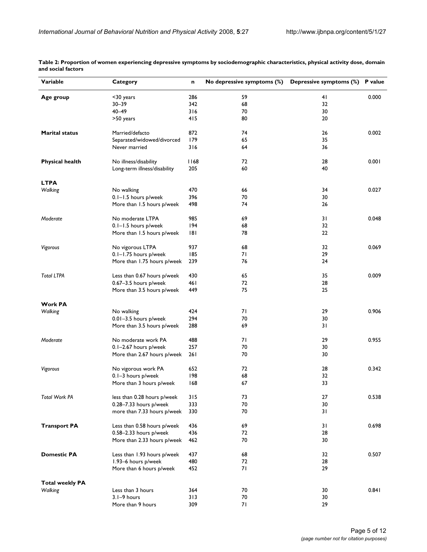| Variable               | Category                     | n    | No depressive symptoms (%) | Depressive symptoms (%) | P value |
|------------------------|------------------------------|------|----------------------------|-------------------------|---------|
| Age group              | <30 years                    | 286  | 59                         | 41                      | 0.000   |
|                        | $30 - 39$                    | 342  | 68                         | 32                      |         |
|                        | $40 - 49$                    | 316  | 70                         | 30                      |         |
|                        | >50 years                    | 415  | 80                         | 20                      |         |
| <b>Marital status</b>  | Married/defacto              | 872  | 74                         | 26                      | 0.002   |
|                        | Separated/widowed/divorced   | 179  | 65                         | 35                      |         |
|                        | Never married                | 316  | 64                         | 36                      |         |
| <b>Physical health</b> | No illness/disability        | 1168 | 72                         | 28                      | 0.001   |
|                        | Long-term illness/disability | 205  | 60                         | 40                      |         |
| <b>LTPA</b>            |                              |      |                            |                         |         |
| Walking                | No walking                   | 470  | 66                         | 34                      | 0.027   |
|                        | 0.1-1.5 hours p/week         | 396  | 70                         | 30                      |         |
|                        | More than 1.5 hours p/week   | 498  | 74                         | 26                      |         |
| Moderate               | No moderate LTPA             | 985  | 69                         | 31                      | 0.048   |
|                        | 0.1-1.5 hours p/week         | 194  | 68                         | 32                      |         |
|                        | More than 1.5 hours p/week   | 181  | 78                         | 22                      |         |
|                        |                              |      |                            |                         |         |
| Vigorous               | No vigorous LTPA             | 937  | 68                         | 32                      | 0.069   |
|                        | 0.1-1.75 hours p/week        | 185  | 71                         | 29                      |         |
|                        | More than 1.75 hours p/week  | 239  | 76                         | 24                      |         |
| <b>Total LTPA</b>      | Less than 0.67 hours p/week  | 430  | 65                         | 35                      | 0.009   |
|                        | 0.67-3.5 hours p/week        | 461  | 72                         | 28                      |         |
|                        | More than 3.5 hours p/week   | 449  | 75                         | 25                      |         |
| <b>Work PA</b>         |                              |      |                            |                         |         |
| Walking                | No walking                   | 424  | 71                         | 29                      | 0.906   |
|                        | 0.01-3.5 hours p/week        | 294  | 70                         | 30                      |         |
|                        |                              | 288  | 69                         | 31                      |         |
|                        | More than 3.5 hours p/week   |      |                            |                         |         |
| Moderate               | No moderate work PA          | 488  | 71                         | 29                      | 0.955   |
|                        | 0.1-2.67 hours p/week        | 257  | 70                         | 30                      |         |
|                        | More than 2.67 hours p/week  | 261  | 70                         | 30                      |         |
| Vigorous               | No vigorous work PA          | 652  | 72                         | 28                      | 0.342   |
|                        | 0.1-3 hours p/week           | 198  | 68                         | 32                      |         |
|                        | More than 3 hours p/week     | 168  | 67                         | 33                      |         |
| <b>Total Work PA</b>   | less than 0.28 hours p/week  | 315  | 73                         | 27                      | 0.538   |
|                        | 0.28-7.33 hours p/week       | 333  | 70                         | 30                      |         |
|                        | more than 7.33 hours p/week  | 330  | 70                         | 31                      |         |
|                        |                              |      |                            |                         |         |
| <b>Transport PA</b>    | Less than 0.58 hours p/week  | 436  | 69                         | 31                      | 0.698   |
|                        | $0.58 - 2.33$ hours p/week   | 436  | 72                         | 28                      |         |
|                        | More than 2.33 hours p/week  | 462  | 70                         | 30                      |         |
| <b>Domestic PA</b>     | Less than 1.93 hours p/week  | 437  | 68                         | 32                      | 0.507   |
|                        | 1.93-6 hours p/week          | 480  | 72                         | 28                      |         |
|                        | More than 6 hours p/week     | 452  | 71                         | 29                      |         |
| <b>Total weekly PA</b> |                              |      |                            |                         |         |
| Walking                | Less than 3 hours            | 364  | 70                         | 30                      | 0.841   |
|                        | 3.1-9 hours                  | 313  | 70                         | 30                      |         |
|                        | More than 9 hours            | 309  | 71                         | 29                      |         |
|                        |                              |      |                            |                         |         |

**Table 2: Proportion of women experiencing depressive symptoms by sociodemographic characteristics, physical activity dose, domain and social factors**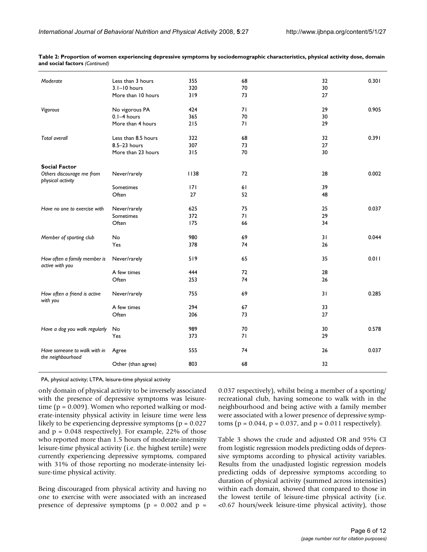| Less than 3 hours<br>$3.1 - 10$ hours | 355                                                                                                                                                                                                     | 68                                                                               | 32                                                                   | 0.301                                                                      |
|---------------------------------------|---------------------------------------------------------------------------------------------------------------------------------------------------------------------------------------------------------|----------------------------------------------------------------------------------|----------------------------------------------------------------------|----------------------------------------------------------------------------|
|                                       |                                                                                                                                                                                                         |                                                                                  |                                                                      |                                                                            |
|                                       | 320                                                                                                                                                                                                     | 70                                                                               | 30                                                                   |                                                                            |
|                                       |                                                                                                                                                                                                         |                                                                                  |                                                                      |                                                                            |
|                                       |                                                                                                                                                                                                         |                                                                                  |                                                                      |                                                                            |
| No vigorous PA                        | 424                                                                                                                                                                                                     | 71                                                                               | 29                                                                   | 0.905                                                                      |
| 0.1-4 hours                           | 365                                                                                                                                                                                                     | 70                                                                               | 30                                                                   |                                                                            |
| More than 4 hours                     | 215                                                                                                                                                                                                     | 71                                                                               | 29                                                                   |                                                                            |
|                                       |                                                                                                                                                                                                         |                                                                                  |                                                                      |                                                                            |
|                                       |                                                                                                                                                                                                         |                                                                                  |                                                                      | 0.391                                                                      |
|                                       |                                                                                                                                                                                                         |                                                                                  |                                                                      |                                                                            |
|                                       |                                                                                                                                                                                                         |                                                                                  |                                                                      |                                                                            |
|                                       |                                                                                                                                                                                                         |                                                                                  |                                                                      |                                                                            |
|                                       | 1138                                                                                                                                                                                                    | 72                                                                               | 28                                                                   | 0.002                                                                      |
|                                       |                                                                                                                                                                                                         |                                                                                  |                                                                      |                                                                            |
| Sometimes                             | 7                                                                                                                                                                                                       | 61                                                                               | 39                                                                   |                                                                            |
| Often                                 | 27                                                                                                                                                                                                      | 52                                                                               | 48                                                                   |                                                                            |
|                                       |                                                                                                                                                                                                         |                                                                                  |                                                                      |                                                                            |
| Never/rarely                          | 625                                                                                                                                                                                                     | 75                                                                               |                                                                      | 0.037                                                                      |
|                                       |                                                                                                                                                                                                         |                                                                                  |                                                                      |                                                                            |
| Often                                 | 175                                                                                                                                                                                                     | 66                                                                               | 34                                                                   |                                                                            |
|                                       |                                                                                                                                                                                                         |                                                                                  |                                                                      |                                                                            |
|                                       |                                                                                                                                                                                                         |                                                                                  |                                                                      | 0.044                                                                      |
|                                       |                                                                                                                                                                                                         |                                                                                  |                                                                      |                                                                            |
|                                       |                                                                                                                                                                                                         |                                                                                  |                                                                      | 0.011                                                                      |
|                                       |                                                                                                                                                                                                         |                                                                                  |                                                                      |                                                                            |
| A few times                           | 444                                                                                                                                                                                                     | 72                                                                               | 28                                                                   |                                                                            |
| Often                                 | 253                                                                                                                                                                                                     | 74                                                                               | 26                                                                   |                                                                            |
|                                       |                                                                                                                                                                                                         |                                                                                  |                                                                      |                                                                            |
|                                       |                                                                                                                                                                                                         |                                                                                  |                                                                      | 0.285                                                                      |
|                                       |                                                                                                                                                                                                         |                                                                                  |                                                                      |                                                                            |
|                                       |                                                                                                                                                                                                         |                                                                                  |                                                                      |                                                                            |
|                                       |                                                                                                                                                                                                         |                                                                                  |                                                                      |                                                                            |
| No                                    | 989                                                                                                                                                                                                     | 70                                                                               | 30                                                                   | 0.578                                                                      |
| Yes                                   | 373                                                                                                                                                                                                     | 71                                                                               | 29                                                                   |                                                                            |
|                                       |                                                                                                                                                                                                         |                                                                                  |                                                                      |                                                                            |
| Agree                                 | 555                                                                                                                                                                                                     | 74                                                                               | 26                                                                   | 0.037                                                                      |
|                                       |                                                                                                                                                                                                         |                                                                                  |                                                                      |                                                                            |
|                                       |                                                                                                                                                                                                         |                                                                                  |                                                                      |                                                                            |
|                                       | More than 10 hours<br>Less than 8.5 hours<br>8.5-23 hours<br>More than 23 hours<br>Never/rarely<br>Sometimes<br>No<br>Yes<br>Never/rarely<br>Never/rarely<br>A few times<br>Often<br>Other (than agree) | 319<br>322<br>307<br>315<br>372<br>980<br>378<br>519<br>755<br>294<br>206<br>803 | 73<br>68<br>73<br>70<br>71<br>69<br>74<br>65<br>69<br>67<br>73<br>68 | 27<br>32<br>27<br>30<br>25<br>29<br>31<br>26<br>35<br>31<br>33<br>27<br>32 |

**Table 2: Proportion of women experiencing depressive symptoms by sociodemographic characteristics, physical activity dose, domain and social factors** *(Continued)*

PA, physical activity; LTPA, leisure-time physical activity

only domain of physical activity to be inversely associated with the presence of depressive symptoms was leisuretime ( $p = 0.009$ ). Women who reported walking or moderate-intensity physical activity in leisure time were less likely to be experiencing depressive symptoms ( $p = 0.027$ ) and  $p = 0.048$  respectively). For example, 22% of those who reported more than 1.5 hours of moderate-intensity leisure-time physical activity (i.e. the highest tertile) were currently experiencing depressive symptoms, compared with 31% of those reporting no moderate-intensity leisure-time physical activity.

Being discouraged from physical activity and having no one to exercise with were associated with an increased presence of depressive symptoms ( $p = 0.002$  and  $p =$ 

0.037 respectively), whilst being a member of a sporting/ recreational club, having someone to walk with in the neighbourhood and being active with a family member were associated with a lower presence of depressive symptoms ( $p = 0.044$ ,  $p = 0.037$ , and  $p = 0.011$  respectively).

Table 3 shows the crude and adjusted OR and 95% CI from logistic regression models predicting odds of depressive symptoms according to physical activity variables. Results from the unadjusted logistic regression models predicting odds of depressive symptoms according to duration of physical activity (summed across intensities) within each domain, showed that compared to those in the lowest tertile of leisure-time physical activity (i.e. <0.67 hours/week leisure-time physical activity), those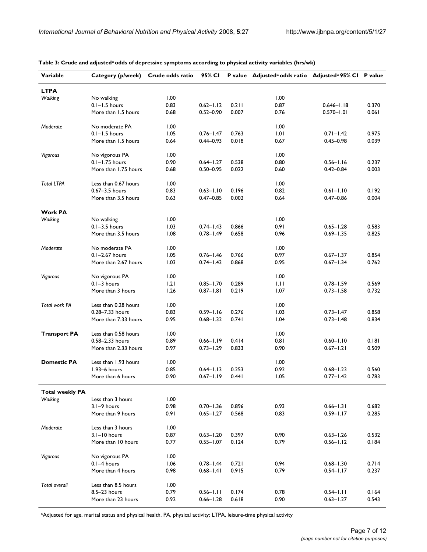| Variable               | Category (p/week)    | Crude odds ratio | 95% CI        |       | P value Adjusted <sup>a</sup> odds ratio Adjusted <sup>a</sup> 95% Cl P value |                |       |
|------------------------|----------------------|------------------|---------------|-------|-------------------------------------------------------------------------------|----------------|-------|
| <b>LTPA</b>            |                      |                  |               |       |                                                                               |                |       |
| Walking                | No walking           | 1.00             |               |       | 1.00                                                                          |                |       |
|                        | $0.1 - 1.5$ hours    | 0.83             | $0.62 - 1.12$ | 0.211 | 0.87                                                                          | $0.646 - 1.18$ | 0.370 |
|                        | More than 1.5 hours  | 0.68             | $0.52 - 0.90$ | 0.007 | 0.76                                                                          | 0.570-1.01     | 0.061 |
| Moderate               | No moderate PA       | 1.00             |               |       | 1.00                                                                          |                |       |
|                        | $0.1 - 1.5$ hours    | 1.05             | $0.76 - 1.47$ | 0.763 | 1.01                                                                          | $0.71 - 1.42$  | 0.975 |
|                        | More than 1.5 hours  | 0.64             | $0.44 - 0.93$ | 0.018 | 0.67                                                                          | $0.45 - 0.98$  | 0.039 |
| Vigorous               | No vigorous PA       | 1.00             |               |       | 1.00                                                                          |                |       |
|                        | $0.1 - 1.75$ hours   | 0.90             | $0.64 - 1.27$ | 0.538 | 0.80                                                                          | $0.56 - 1.16$  | 0.237 |
|                        | More than 1.75 hours | 0.68             | $0.50 - 0.95$ | 0.022 | 0.60                                                                          | $0.42 - 0.84$  | 0.003 |
| <b>Total LTPA</b>      | Less than 0.67 hours | 1.00             |               |       | 1.00                                                                          |                |       |
|                        | $0.67 - 3.5$ hours   | 0.83             | $0.63 - 1.10$ | 0.196 | 0.82                                                                          | $0.61 - 1.10$  | 0.192 |
|                        | More than 3.5 hours  | 0.63             | $0.47 - 0.85$ | 0.002 | 0.64                                                                          | $0.47 - 0.86$  | 0.004 |
| <b>Work PA</b>         |                      |                  |               |       |                                                                               |                |       |
| Walking                | No walking           | 1.00             |               |       | 1.00                                                                          |                |       |
|                        | $0.1 - 3.5$ hours    | 1.03             | $0.74 - 1.43$ | 0.866 | 0.91                                                                          | $0.65 - 1.28$  | 0.583 |
|                        | More than 3.5 hours  | 1.08             | $0.78 - 1.49$ | 0.658 | 0.96                                                                          | $0.69 - 1.35$  | 0.825 |
| Moderate               | No moderate PA       | 1.00             |               |       | 1.00                                                                          |                |       |
|                        | $0.1 - 2.67$ hours   | 1.05             | $0.76 - 1.46$ | 0.766 | 0.97                                                                          | $0.67 - 1.37$  | 0.854 |
|                        | More than 2.67 hours | 1.03             | $0.74 - 1.43$ | 0.868 | 0.95                                                                          | $0.67 - 1.34$  | 0.762 |
| Vigorous               | No vigorous PA       | 1.00             |               |       | 1.00                                                                          |                |       |
|                        | $0.1 - 3$ hours      | 1.21             | $0.85 - 1.70$ | 0.289 | 1.11                                                                          | $0.78 - 1.59$  | 0.569 |
|                        | More than 3 hours    | 1.26             | $0.87 - 1.81$ | 0.219 | 1.07                                                                          | $0.73 - 1.58$  | 0.732 |
| <b>Total work PA</b>   | Less than 0.28 hours | 1.00             |               |       | 1.00                                                                          |                |       |
|                        | 0.28-7.33 hours      | 0.83             | $0.59 - 1.16$ | 0.276 | 1.03                                                                          | $0.73 - 1.47$  | 0.858 |
|                        | More than 7.33 hours | 0.95             | $0.68 - 1.32$ | 0.741 | 1.04                                                                          | $0.73 - 1.48$  | 0.834 |
| <b>Transport PA</b>    | Less than 0.58 hours | 1.00             |               |       | 1.00                                                                          |                |       |
|                        | 0.58-2.33 hours      | 0.89             | $0.66 - 1.19$ | 0.414 | 0.81                                                                          | $0.60 - 1.10$  | 0.181 |
|                        | More than 2.33 hours | 0.97             | $0.73 - 1.29$ | 0.833 | 0.90                                                                          | $0.67 - 1.21$  | 0.509 |
| <b>Domestic PA</b>     | Less than 1.93 hours | 1.00             |               |       | 1.00                                                                          |                |       |
|                        | 1.93-6 hours         | 0.85             | $0.64 - 1.13$ | 0.253 | 0.92                                                                          | $0.68 - 1.23$  | 0.560 |
|                        | More than 6 hours    | 0.90             | $0.67 - 1.19$ | 0.441 | 1.05                                                                          | $0.77 - 1.42$  | 0.783 |
| <b>Total weekly PA</b> |                      |                  |               |       |                                                                               |                |       |
| Walking                | Less than 3 hours    | 1.00             |               |       |                                                                               |                |       |
|                        | $3.1 - 9$ hours      | 0.98             | $0.70 - 1.36$ | 0.896 | 0.93                                                                          | $0.66 - 1.31$  | 0.682 |
|                        | More than 9 hours    | 0.91             | $0.65 - 1.27$ | 0.568 | 0.83                                                                          | $0.59 - 1.17$  | 0.285 |
| Moderate               | Less than 3 hours    | 1.00             |               |       |                                                                               |                |       |
|                        | $3.1 - 10$ hours     | 0.87             | $0.63 - 1.20$ | 0.397 | 0.90                                                                          | $0.63 - 1.26$  | 0.532 |
|                        | More than 10 hours   | 0.77             | $0.55 - 1.07$ | 0.124 | 0.79                                                                          | $0.56 - 1.12$  | 0.184 |
| Vigorous               | No vigorous PA       | 1.00             |               |       |                                                                               |                |       |
|                        | 0.1-4 hours          | 1.06             | $0.78 - 1.44$ | 0.721 | 0.94                                                                          | $0.68 - 1.30$  | 0.714 |
|                        | More than 4 hours    | 0.98             | $0.68 - 1.41$ | 0.915 | 0.79                                                                          | $0.54 - 1.17$  | 0.237 |
| <b>Total overall</b>   | Less than 8.5 hours  | 1.00             |               |       |                                                                               |                |       |
|                        | 8.5-23 hours         | 0.79             | $0.56 - 1.11$ | 0.174 | 0.78                                                                          | $0.54 - 1.11$  | 0.164 |
|                        | More than 23 hours   | 0.92             | $0.66 - 1.28$ | 0.618 | 0.90                                                                          | $0.63 - 1.27$  | 0.543 |
|                        |                      |                  |               |       |                                                                               |                |       |

## **Table 3: Crude and adjusteda odds of depressive symptoms according to physical activity variables (hrs/wk)**

aAdjusted for age, marital status and physical health. PA, physical activity; LTPA, leisure-time physical activity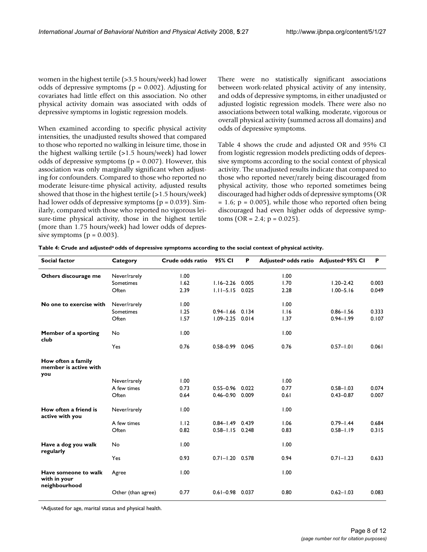women in the highest tertile (>3.5 hours/week) had lower odds of depressive symptoms ( $p = 0.002$ ). Adjusting for covariates had little effect on this association. No other physical activity domain was associated with odds of depressive symptoms in logistic regression models.

When examined according to specific physical activity intensities, the unadjusted results showed that compared to those who reported no walking in leisure time, those in the highest walking tertile (>1.5 hours/week) had lower odds of depressive symptoms ( $p = 0.007$ ). However, this association was only marginally significant when adjusting for confounders. Compared to those who reported no moderate leisure-time physical activity, adjusted results showed that those in the highest tertile (>1.5 hours/week) had lower odds of depressive symptoms ( $p = 0.039$ ). Similarly, compared with those who reported no vigorous leisure-time physical activity, those in the highest tertile (more than 1.75 hours/week) had lower odds of depressive symptoms  $(p = 0.003)$ .

There were no statistically significant associations between work-related physical activity of any intensity, and odds of depressive symptoms, in either unadjusted or adjusted logistic regression models. There were also no associations between total walking, moderate, vigorous or overall physical activity (summed across all domains) and odds of depressive symptoms.

Table 4 shows the crude and adjusted OR and 95% CI from logistic regression models predicting odds of depressive symptoms according to the social context of physical activity. The unadjusted results indicate that compared to those who reported never/rarely being discouraged from physical activity, those who reported sometimes being discouraged had higher odds of depressive symptoms (OR  $= 1.6$ ;  $p = 0.005$ ), while those who reported often being discouraged had even higher odds of depressive symptoms  $(OR = 2.4; p = 0.025)$ .

| <b>Social factor</b>                                  | <b>Category</b>    | Crude odds ratio | 95% CI              | P     | Adjusted <sup>a</sup> odds ratio Adjusted <sup>a</sup> 95% CI |               | P     |
|-------------------------------------------------------|--------------------|------------------|---------------------|-------|---------------------------------------------------------------|---------------|-------|
| Others discourage me                                  | Never/rarely       | 1.00             |                     |       | 1.00                                                          |               |       |
|                                                       | Sometimes          | 1.62             | $1.16 - 2.26$       | 0.005 | 1.70                                                          | $1.20 - 2.42$ | 0.003 |
|                                                       | Often              | 2.39             | $1.11 - 5.15$       | 0.025 | 2.28                                                          | $1.00 - 5.16$ | 0.049 |
| No one to exercise with                               | Never/rarely       | 1.00             |                     |       | 1.00                                                          |               |       |
|                                                       | Sometimes          | 1.25             | $0.94 - 1.66$       | 0.134 | 1.16                                                          | $0.86 - 1.56$ | 0.333 |
|                                                       | Often              | 1.57             | $1.09 - 2.25$ 0.014 |       | 1.37                                                          | $0.94 - 1.99$ | 0.107 |
| Member of a sporting<br>club                          | No                 | 1.00             |                     |       | 1.00                                                          |               |       |
|                                                       | Yes                | 0.76             | $0.58 - 0.99$ 0.045 |       | 0.76                                                          | $0.57 - 1.01$ | 0.061 |
| How often a family<br>member is active with<br>you    |                    |                  |                     |       |                                                               |               |       |
|                                                       | Never/rarely       | 1.00             |                     |       | 1.00                                                          |               |       |
|                                                       | A few times        | 0.73             | $0.55 - 0.96$ 0.022 |       | 0.77                                                          | $0.58 - 1.03$ | 0.074 |
|                                                       | Often              | 0.64             | $0.46 - 0.90$       | 0.009 | 0.61                                                          | $0.43 - 0.87$ | 0.007 |
| How often a friend is<br>active with you              | Never/rarely       | 1.00             |                     |       | 1.00                                                          |               |       |
|                                                       | A few times        | 1.12             | $0.84 - 1.49$ 0.439 |       | 1.06                                                          | $0.79 - 1.44$ | 0.684 |
|                                                       | Often              | 0.82             | $0.58 - 1.15$ 0.248 |       | 0.83                                                          | $0.58 - 1.19$ | 0.315 |
| Have a dog you walk<br>regularly                      | No                 | 1.00             |                     |       | 1.00                                                          |               |       |
|                                                       | Yes                | 0.93             | $0.71 - 1.20$ 0.578 |       | 0.94                                                          | $0.71 - 1.23$ | 0.633 |
| Have someone to walk<br>with in your<br>neighbourhood | Agree              | 1.00             |                     |       | 1.00                                                          |               |       |
|                                                       | Other (than agree) | 0.77             | $0.61 - 0.98$ 0.037 |       | 0.80                                                          | $0.62 - 1.03$ | 0.083 |
|                                                       |                    |                  |                     |       |                                                               |               |       |

**Table 4: Crude and adjusteda odds of depressive symptoms according to the social context of physical activity.**

aAdjusted for age, marital status and physical health.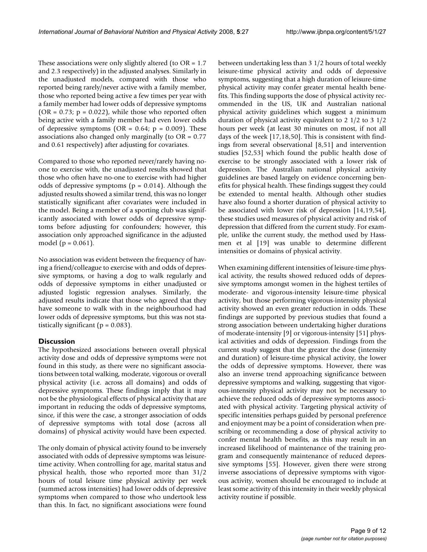These associations were only slightly altered (to  $OR = 1.7$ ) and 2.3 respectively) in the adjusted analyses. Similarly in the unadjusted models, compared with those who reported being rarely/never active with a family member, those who reported being active a few times per year with a family member had lower odds of depressive symptoms ( $OR = 0.73$ ;  $p = 0.022$ ), while those who reported often being active with a family member had even lower odds of depressive symptoms (OR =  $0.64$ ; p =  $0.009$ ). These associations also changed only marginally (to OR = 0.77 and 0.61 respectively) after adjusting for covariates.

Compared to those who reported never/rarely having noone to exercise with, the unadjusted results showed that those who often have no-one to exercise with had higher odds of depressive symptoms ( $p = 0.014$ ). Although the adjusted results showed a similar trend, this was no longer statistically significant after covariates were included in the model. Being a member of a sporting club was significantly associated with lower odds of depressive symptoms before adjusting for confounders; however, this association only approached significance in the adjusted model (p = 0.061).

No association was evident between the frequency of having a friend/colleague to exercise with and odds of depressive symptoms, or having a dog to walk regularly and odds of depressive symptoms in either unadjusted or adjusted logistic regression analyses. Similarly, the adjusted results indicate that those who agreed that they have someone to walk with in the neighbourhood had lower odds of depressive symptoms, but this was not statistically significant ( $p = 0.083$ ).

# **Discussion**

The hypothesized associations between overall physical activity dose and odds of depressive symptoms were not found in this study, as there were no significant associations between total walking, moderate, vigorous or overall physical activity (i.e. across all domains) and odds of depressive symptoms. These findings imply that it may not be the physiological effects of physical activity that are important in reducing the odds of depressive symptoms, since, if this were the case, a stronger association of odds of depressive symptoms with total dose (across all domains) of physical activity would have been expected.

The only domain of physical activity found to be inversely associated with odds of depressive symptoms was leisuretime activity. When controlling for age, marital status and physical health, those who reported more than 31/2 hours of total leisure time physical activity per week (summed across intensities) had lower odds of depressive symptoms when compared to those who undertook less than this. In fact, no significant associations were found

between undertaking less than 3 1/2 hours of total weekly leisure-time physical activity and odds of depressive symptoms, suggesting that a high duration of leisure-time physical activity may confer greater mental health benefits. This finding supports the dose of physical activity recommended in the US, UK and Australian national physical activity guidelines which suggest a minimum duration of physical activity equivalent to 2 1/2 to 3 1/2 hours per week (at least 30 minutes on most, if not all days of the week [17,18,50]. This is consistent with findings from several observational [8,51] and intervention studies [52,53] which found the public health dose of exercise to be strongly associated with a lower risk of depression. The Australian national physical activity guidelines are based largely on evidence concerning benefits for physical health. These findings suggest they could be extended to mental health. Although other studies have also found a shorter duration of physical activity to be associated with lower risk of depression [14,19,54], these studies used measures of physical activity and risk of depression that differed from the current study. For example, unlike the current study, the method used by Hassmen et al [19] was unable to determine different intensities or domains of physical activity.

When examining different intensities of leisure-time physical activity, the results showed reduced odds of depressive symptoms amongst women in the highest tertiles of moderate- and vigorous-intensity leisure-time physical activity, but those performing vigorous-intensity physical activity showed an even greater reduction in odds. These findings are supported by previous studies that found a strong association between undertaking higher durations of moderate-intensity [9] or vigorous-intensity [51] physical activities and odds of depression. Findings from the current study suggest that the greater the dose (intensity and duration) of leisure-time physical activity, the lower the odds of depressive symptoms. However, there was also an inverse trend approaching significance between depressive symptoms and walking, suggesting that vigorous-intensity physical activity may not be necessary to achieve the reduced odds of depressive symptoms associated with physical activity. Targeting physical activity of specific intensities perhaps guided by personal preference and enjoyment may be a point of consideration when prescribing or recommending a dose of physical activity to confer mental health benefits, as this may result in an increased likelihood of maintenance of the training program and consequently maintenance of reduced depressive symptoms [55]. However, given there were strong inverse associations of depressive symptoms with vigorous activity, women should be encouraged to include at least some activity of this intensity in their weekly physical activity routine if possible.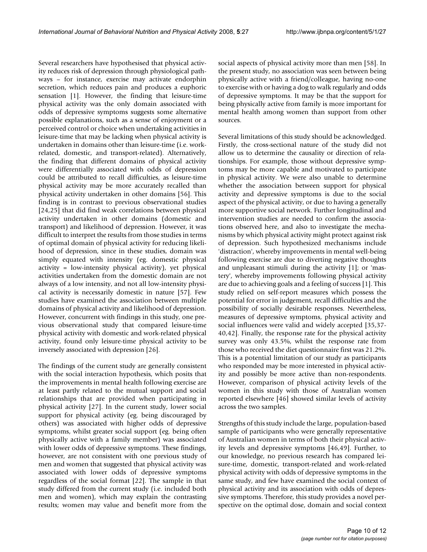Several researchers have hypothesised that physical activity reduces risk of depression through physiological pathways – for instance, exercise may activate endorphin secretion, which reduces pain and produces a euphoric sensation [1]. However, the finding that leisure-time physical activity was the only domain associated with odds of depressive symptoms suggests some alternative possible explanations, such as a sense of enjoyment or a perceived control or choice when undertaking activities in leisure-time that may be lacking when physical activity is undertaken in domains other than leisure-time (i.e. workrelated, domestic, and transport-related). Alternatively, the finding that different domains of physical activity were differentially associated with odds of depression could be attributed to recall difficulties, as leisure-time physical activity may be more accurately recalled than physical activity undertaken in other domains [56]. This finding is in contrast to previous observational studies [24,25] that did find weak correlations between physical activity undertaken in other domains (domestic and transport) and likelihood of depression. However, it was difficult to interpret the results from those studies in terms of optimal domain of physical activity for reducing likelihood of depression, since in these studies, domain was simply equated with intensity (eg. domestic physical activity = low-intensity physical activity), yet physical activities undertaken from the domestic domain are not always of a low intensity, and not all low-intensity physical activity is necessarily domestic in nature [57]. Few studies have examined the association between multiple domains of physical activity and likelihood of depression. However, concurrent with findings in this study, one previous observational study that compared leisure-time physical activity with domestic and work-related physical activity, found only leisure-time physical activity to be inversely associated with depression [26].

The findings of the current study are generally consistent with the social interaction hypothesis, which posits that the improvements in mental health following exercise are at least partly related to the mutual support and social relationships that are provided when participating in physical activity [27]. In the current study, lower social support for physical activity (eg. being discouraged by others) was associated with higher odds of depressive symptoms, whilst greater social support (eg. being often physically active with a family member) was associated with lower odds of depressive symptoms. These findings, however, are not consistent with one previous study of men and women that suggested that physical activity was associated with lower odds of depressive symptoms regardless of the social format [22]. The sample in that study differed from the current study (i.e. included both men and women), which may explain the contrasting results; women may value and benefit more from the social aspects of physical activity more than men [58]. In the present study, no association was seen between being physically active with a friend/colleague, having no-one to exercise with or having a dog to walk regularly and odds of depressive symptoms. It may be that the support for being physically active from family is more important for mental health among women than support from other sources.

Several limitations of this study should be acknowledged. Firstly, the cross-sectional nature of the study did not allow us to determine the causality or direction of relationships. For example, those without depressive symptoms may be more capable and motivated to participate in physical activity. We were also unable to determine whether the association between support for physical activity and depressive symptoms is due to the social aspect of the physical activity, or due to having a generally more supportive social network. Further longitudinal and intervention studies are needed to confirm the associations observed here, and also to investigate the mechanisms by which physical activity might protect against risk of depression. Such hypothesized mechanisms include 'distraction', whereby improvements in mental well-being following exercise are due to diverting negative thoughts and unpleasant stimuli during the activity [1]; or 'mastery', whereby improvements following physical activity are due to achieving goals and a feeling of success [1]. This study relied on self-report measures which possess the potential for error in judgement, recall difficulties and the possibility of socially desirable responses. Nevertheless, measures of depressive symptoms, physical activity and social influences were valid and widely accepted [35,37- 40,42]. Finally, the response rate for the physical activity survey was only 43.5%, whilst the response rate from those who received the diet questionnaire first was 21.2%. This is a potential limitation of our study as participants who responded may be more interested in physical activity and possibly be more active than non-respondents. However, comparison of physical activity levels of the women in this study with those of Australian women reported elsewhere [46] showed similar levels of activity across the two samples.

Strengths of this study include the large, population-based sample of participants who were generally representative of Australian women in terms of both their physical activity levels and depressive symptoms [46,49]. Further, to our knowledge, no previous research has compared leisure-time, domestic, transport-related and work-related physical activity with odds of depressive symptoms in the same study, and few have examined the social context of physical activity and its association with odds of depressive symptoms. Therefore, this study provides a novel perspective on the optimal dose, domain and social context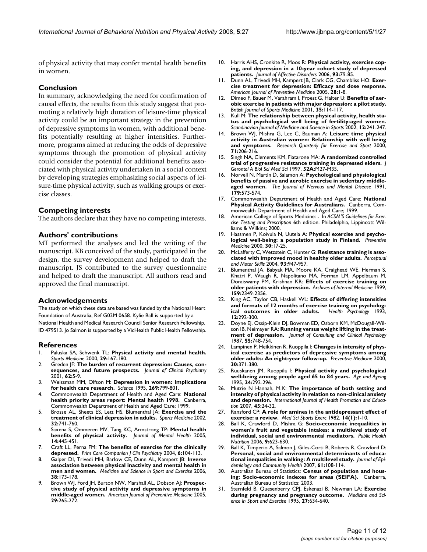of physical activity that may confer mental health benefits in women.

## **Conclusion**

In summary, acknowledging the need for confirmation of causal effects, the results from this study suggest that promoting a relatively high duration of leisure-time physical activity could be an important strategy in the prevention of depressive symptoms in women, with additional benefits potentially resulting at higher intensities. Furthermore, programs aimed at reducing the odds of depressive symptoms through the promotion of physical activity could consider the potential for additional benefits associated with physical activity undertaken in a social context by developing strategies emphasizing social aspects of leisure-time physical activity, such as walking groups or exercise classes.

## **Competing interests**

The authors declare that they have no competing interests.

## **Authors' contributions**

MT performed the analyses and led the writing of the manuscript. KB conceived of the study, participated in the design, the survey development and helped to draft the manuscript. JS contributed to the survey questionnaire and helped to draft the manuscript. All authors read and approved the final manuscript.

## **Acknowledgements**

The study on which these data are based was funded by the National Heart Foundation of Australia, Ref G02M 0658. Kylie Ball is supported by a National Health and Medical Research Council Senior Research Fellowship, ID 479513. Jo Salmon is supported by a VicHealth Public Health Fellowship.

#### **References**

- 1. Paluska SA, Schwenk TL: **[Physical activity and mental health.](http://www.ncbi.nlm.nih.gov/entrez/query.fcgi?cmd=Retrieve&db=PubMed&dopt=Abstract&list_uids=10739267)** *Sports Medicine* 2000, **29:**167-180.
- 2. Greden JF: **[The burden of recurrent depression: Causes, con](http://www.ncbi.nlm.nih.gov/entrez/query.fcgi?cmd=Retrieve&db=PubMed&dopt=Abstract&list_uids=11599650)[sequences, and future prospects.](http://www.ncbi.nlm.nih.gov/entrez/query.fcgi?cmd=Retrieve&db=PubMed&dopt=Abstract&list_uids=11599650)** *Journal of Clinical Psychiatry* 2001, **62:**5-9.
- 3. Weissman MM, Olfson M: **[Depression in women: Implications](http://www.ncbi.nlm.nih.gov/entrez/query.fcgi?cmd=Retrieve&db=PubMed&dopt=Abstract&list_uids=7638596) [for health care research.](http://www.ncbi.nlm.nih.gov/entrez/query.fcgi?cmd=Retrieve&db=PubMed&dopt=Abstract&list_uids=7638596)** *Science* 1995, **269:**799-801.
- 4. Commonwealth Department of Health and Aged Care: **National health priority areas report: Mental health 1998.** Canberra, Commonwealth Department of Health and Aged Care; 1999.
- 5. Brosse AL, Sheets ES, Lett HS, Blumenthal JA: **[Exercise and the](http://www.ncbi.nlm.nih.gov/entrez/query.fcgi?cmd=Retrieve&db=PubMed&dopt=Abstract&list_uids=12238939) [treatment of clinical depression in adults.](http://www.ncbi.nlm.nih.gov/entrez/query.fcgi?cmd=Retrieve&db=PubMed&dopt=Abstract&list_uids=12238939)** *Sports Medicine* 2002, **32:**741-760.
- 6. Saxena S, Ommeren MV, Tang KC, Armstrong TP: **Mental health benefits of physical activity.** *Journal of Mental Health* 2005, **14:**445-451.
- 7. Craft LL, Perna FM: **[The benefits of exercise for the clinically](http://www.ncbi.nlm.nih.gov/entrez/query.fcgi?cmd=Retrieve&db=PubMed&dopt=Abstract&list_uids=15361924) [depressed.](http://www.ncbi.nlm.nih.gov/entrez/query.fcgi?cmd=Retrieve&db=PubMed&dopt=Abstract&list_uids=15361924)** *Prim Care Companion J Clin Psychiatry* 2004, **6:**104-113.
- 8. Galper DI, Trivedi MH, Barlow CE, Dunn AL, Kampert JB: **Inverse association between physical inactivity and mental health in men and women.** *Medicine and Science in Sport and Exercise* 2006, **38:**173-178.
- 9. Brown WJ, Ford JH, Burton NW, Marshall AL, Dobson AJ: **[Prospec](http://www.ncbi.nlm.nih.gov/entrez/query.fcgi?cmd=Retrieve&db=PubMed&dopt=Abstract&list_uids=16242588)[tive study of physical activity and depressive symptoms in](http://www.ncbi.nlm.nih.gov/entrez/query.fcgi?cmd=Retrieve&db=PubMed&dopt=Abstract&list_uids=16242588) [middle-aged women.](http://www.ncbi.nlm.nih.gov/entrez/query.fcgi?cmd=Retrieve&db=PubMed&dopt=Abstract&list_uids=16242588)** *American Journal of Preventive Medicine* 2005, **29:**265-272.
- 10. Harris AHS, Cronkite R, Moos R: **[Physical activity, exercise cop](http://www.ncbi.nlm.nih.gov/entrez/query.fcgi?cmd=Retrieve&db=PubMed&dopt=Abstract&list_uids=16545873)[ing, and depression in a 10-year cohort study of depressed](http://www.ncbi.nlm.nih.gov/entrez/query.fcgi?cmd=Retrieve&db=PubMed&dopt=Abstract&list_uids=16545873) [patients.](http://www.ncbi.nlm.nih.gov/entrez/query.fcgi?cmd=Retrieve&db=PubMed&dopt=Abstract&list_uids=16545873)** *Journal of Affective Disorders* 2006, **93:**79-85.
- 11. Dunn AL, Trivedi MH, Kampert JB, Clark CG, Chambliss HO: **[Exer](http://www.ncbi.nlm.nih.gov/entrez/query.fcgi?cmd=Retrieve&db=PubMed&dopt=Abstract&list_uids=15626549)[cise treatment for depression: Efficacy and dose response.](http://www.ncbi.nlm.nih.gov/entrez/query.fcgi?cmd=Retrieve&db=PubMed&dopt=Abstract&list_uids=15626549)** *American Journal of Preventive Medicine* 2005, **28:**1-8.
- 12. Dimeo F, Bauer M, Varahram I, Proest G, Halter U: **[Benefits of aer](http://www.ncbi.nlm.nih.gov/entrez/query.fcgi?cmd=Retrieve&db=PubMed&dopt=Abstract&list_uids=11273973)[obic exercise in patients with major depression: a pilot study.](http://www.ncbi.nlm.nih.gov/entrez/query.fcgi?cmd=Retrieve&db=PubMed&dopt=Abstract&list_uids=11273973)** *British Journal of Sports Medicine* 2001, **35:**114-117.
- 13. Kull M: **The relationship between physical activity, health status and psychological well being of fertility-aged women.** *Scandinavian Journal of Medicine and Science in Sports* 2002, **12:**241-247.
- 14. Brown WJ, Mishra G, Lee C, Bauman A: **Leisure time physical activity in Australian women: Relationship with well being and symptoms.** *Research Quarterly for Exercise and Sport* 2000, **71:**206-216.
- 15. Singh NA, Clements KM, Fiatarone MA: **A randomized controlled trial of progressive resistance training in depressed elders.** *J Gerontol A Biol Sci Med Sci* 1997, **52A:**M27-M35.
- 16. Norvell N, Martin D, Salamon A: **Psychological and physiological benefits of passive and aerobic exercise in sedentary middleaged women.** *The Journal of Nervous and Mental Disease* 1991, **179:**573-574.
- 17. Commonwealth Department of Health and Aged Care: **National Physical Activity Guidelines for Australians.** Canberra, Commonwealth Department of Health and Aged Care; 1999.
- American College of Sports Medicine: **.** In *ACSM'S Guidelines for Exercise Testing and Prescription* 6th edition. Philadelphia, Lippincott Williams & Wilkins; 2000.
- 19. Hassmen P, Koivula N, Uutela A: **[Physical exercise and psycho](http://www.ncbi.nlm.nih.gov/entrez/query.fcgi?cmd=Retrieve&db=PubMed&dopt=Abstract&list_uids=10642456)[logical well-being: a population study in Finland.](http://www.ncbi.nlm.nih.gov/entrez/query.fcgi?cmd=Retrieve&db=PubMed&dopt=Abstract&list_uids=10642456)** *Preventive Medicine* 2000, **30:**17-25.
- 20. McLafferty C, Wetzstein C, Hunter G: **Resistance training is associated with improved mood in healthy older adults.** *Perceptual and Motor Skills* 2004, **93:**947-957.
- 21. Blumenthal JA, Babyak MA, Moore KA, Craighead WE, Herman S, Khatri P, Waugh R, Napolitano MA, Forman LM, Appelbaum M, Doraiswamy PM, Krishnan KR: **[Effects of exercise training on](http://www.ncbi.nlm.nih.gov/entrez/query.fcgi?cmd=Retrieve&db=PubMed&dopt=Abstract&list_uids=10547175) [older patients with depression.](http://www.ncbi.nlm.nih.gov/entrez/query.fcgi?cmd=Retrieve&db=PubMed&dopt=Abstract&list_uids=10547175)** *Archives of Internal Medicine* 1999, **159:**2349-2356.
- 22. King AC, Taylor CB, Haskell WL: **[Effects of differing intensities](http://www.ncbi.nlm.nih.gov/entrez/query.fcgi?cmd=Retrieve&db=PubMed&dopt=Abstract&list_uids=8404803)** and formats of 12 months of exercise training on psycholog-<br>ical outcomes in older adults. Health Psychology 1993, [ical outcomes in older adults.](http://www.ncbi.nlm.nih.gov/entrez/query.fcgi?cmd=Retrieve&db=PubMed&dopt=Abstract&list_uids=8404803) **12:**292-300.
- 23. Doyne El, Ossip-Klein DJ, Bowman ED, Osborn KM, McDougall-Wilson IB, Neimayer RA: **Running versus weight lifting in the treatment of depression.** *Journal of Consulting and Clinical Psychology* 1987, **55:**748-754.
- 24. Lampinen P, Heikkinen R, Ruoppila I: **[Changes in intensity of phys](http://www.ncbi.nlm.nih.gov/entrez/query.fcgi?cmd=Retrieve&db=PubMed&dopt=Abstract&list_uids=10845746)[ical exercise as predictors of depressive symptoms among](http://www.ncbi.nlm.nih.gov/entrez/query.fcgi?cmd=Retrieve&db=PubMed&dopt=Abstract&list_uids=10845746) [older adults: An eight-year follow-up.](http://www.ncbi.nlm.nih.gov/entrez/query.fcgi?cmd=Retrieve&db=PubMed&dopt=Abstract&list_uids=10845746)** *Preventive Medicine* 2000, **30:**371-380.
- 25. Ruuskanen JM, Ruoppila I: **Physical activity and psychological well-being among people aged 65 to 84 years.** *Age and Ageing* 1995, **24:**292-296.
- 26. Mutrie N Hannah, M.K: **The importance of both setting and intensity of physical activity in relation to non-clinical anxiety and depression.** *International Journal of Health Promotion and Education* 2007, **45:**24-32.
- 27. Ransford CP: **[A role for amines in the antidepressant effect of](http://www.ncbi.nlm.nih.gov/entrez/query.fcgi?cmd=Retrieve&db=PubMed&dopt=Abstract&list_uids=6280014) [exercise: a review.](http://www.ncbi.nlm.nih.gov/entrez/query.fcgi?cmd=Retrieve&db=PubMed&dopt=Abstract&list_uids=6280014)** *Med Sci Sports Exerc* 1982, **14(1):**1-10.
- 28. Ball K, Crawford D, Mishra G: **[Socio-economic inequalities in](http://www.ncbi.nlm.nih.gov/entrez/query.fcgi?cmd=Retrieve&db=PubMed&dopt=Abstract&list_uids=16923294) [women's fruit and vegetable intakes: a multilevel study of](http://www.ncbi.nlm.nih.gov/entrez/query.fcgi?cmd=Retrieve&db=PubMed&dopt=Abstract&list_uids=16923294) [individual, social and environmental mediators.](http://www.ncbi.nlm.nih.gov/entrez/query.fcgi?cmd=Retrieve&db=PubMed&dopt=Abstract&list_uids=16923294)** *Public Health Nutrition* 2006, **9:**623-630.
- 29. Ball K, Timperio A, Salmon J, Giles-Corti B, Roberts R, Crawford D: **Personal, social and environmental determinants of educational inequalities in walking: A multilevel study.** *Journal of Epidemiology and Community Health* 2007, **61:**108-114.
- 30. Australian Bureau of Statistics: **Census of population and housing: Socio-economic indexes for areas (SEIFA).** Canberra, Australian Bureau of Statistics; 2003.
- 31. Sternfeld B, Quesenberry CPJ, Eskenazi B, Newman LA: **Exercise during pregnancy and pregnancy outcome.** *Medicine and Science in Sport and Exercise* 1995, **27:**634-640.